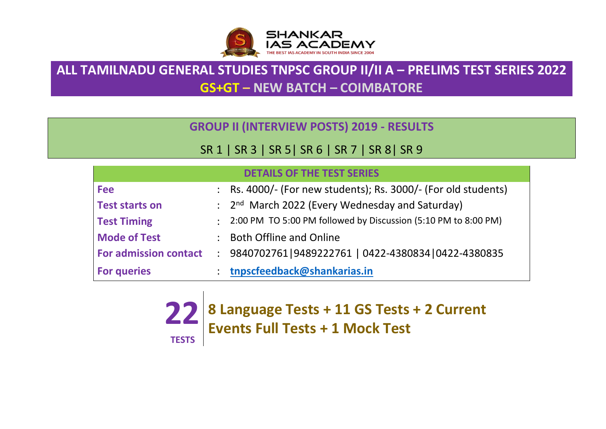

## **ALL TAMILNADU GENERAL STUDIES TNPSC GROUP II/II A – PRELIMS TEST SERIES 2022 GS+GT – NEW BATCH – COIMBATORE**

**GROUP II (INTERVIEW POSTS) 2019 - RESULTS**

## SR 1 | SR 3 | SR 5| SR 6 | SR 7 | SR 8| SR 9

|                              | <b>DETAILS OF THE TEST SERIES</b>                                           |
|------------------------------|-----------------------------------------------------------------------------|
| <b>Fee</b>                   | : Rs. 4000/- (For new students); Rs. 3000/- (For old students)              |
| <b>Test starts on</b>        | $\therefore$ 2 <sup>nd</sup> March 2022 (Every Wednesday and Saturday)      |
| <b>Test Timing</b>           | $\therefore$ 2:00 PM TO 5:00 PM followed by Discussion (5:10 PM to 8:00 PM) |
| <b>Mode of Test</b>          | : Both Offline and Online                                                   |
| <b>For admission contact</b> | 1 9840702761 9489222761   0422-4380834   0422-4380835                       |
| <b>For queries</b>           | tnpscfeedback@shankarias.in                                                 |

**22 8 Language Tests + 11 GS Tests + 2 Current TESTS Events Full Tests + 1 Mock Test**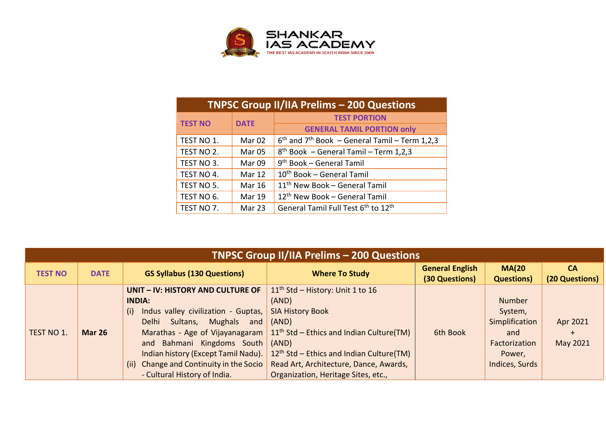

|                | <b>TNPSC Group II/IIA Prelims - 200 Questions</b> |                                                             |  |  |  |  |
|----------------|---------------------------------------------------|-------------------------------------------------------------|--|--|--|--|
| <b>TEST NO</b> | <b>DATE</b>                                       | <b>TEST PORTION</b>                                         |  |  |  |  |
|                |                                                   | <b>GENERAL TAMIL PORTION only</b>                           |  |  |  |  |
| TEST NO 1.     | Mar <sub>02</sub>                                 | $6th$ and 7 <sup>th</sup> Book – General Tamil – Term 1,2,3 |  |  |  |  |
| TEST NO 2.     | Mar <sub>05</sub>                                 | $8th$ Book - General Tamil - Term 1,2,3                     |  |  |  |  |
| TEST NO 3.     | Mar 09                                            | 9 <sup>th</sup> Book – General Tamil                        |  |  |  |  |
| TEST NO 4.     | Mar 12                                            | $10th$ Book – General Tamil                                 |  |  |  |  |
| TEST NO 5.     | <b>Mar 16</b>                                     | 11 <sup>th</sup> New Book - General Tamil                   |  |  |  |  |
| TEST NO 6.     | <b>Mar 19</b>                                     | 12 <sup>th</sup> New Book - General Tamil                   |  |  |  |  |
| TEST NO 7.     | Mar 23                                            | General Tamil Full Test 6 <sup>th</sup> to 12 <sup>th</sup> |  |  |  |  |

|                | <b>TNPSC Group II/IIA Prelims - 200 Questions</b> |                                            |                                            |                                          |                                   |                             |  |  |
|----------------|---------------------------------------------------|--------------------------------------------|--------------------------------------------|------------------------------------------|-----------------------------------|-----------------------------|--|--|
| <b>TEST NO</b> | <b>DATE</b>                                       | <b>GS Syllabus (130 Questions)</b>         | <b>Where To Study</b>                      | <b>General English</b><br>(30 Questions) | <b>MA(20</b><br><b>Questions)</b> | <b>CA</b><br>(20 Questions) |  |  |
|                |                                                   | UNIT - IV: HISTORY AND CULTURE OF          | $11th$ Std – History: Unit 1 to 16         |                                          |                                   |                             |  |  |
|                |                                                   | <b>INDIA:</b>                              | (AND)                                      |                                          | <b>Number</b>                     |                             |  |  |
|                |                                                   | Indus valley civilization - Guptas,<br>(i) | <b>SIA History Book</b>                    |                                          | System,                           |                             |  |  |
|                |                                                   | Mughals<br>Sultans,<br>Delhi<br>and        | (AND)                                      |                                          | Simplification                    | Apr 2021                    |  |  |
| TEST NO 1.     | <b>Mar 26</b>                                     | Marathas - Age of Vijayanagaram            | $11th$ Std – Ethics and Indian Culture(TM) | 6th Book                                 | and                               | $\pm$                       |  |  |
|                |                                                   | and Bahmani Kingdoms South                 | (AND)                                      |                                          | Factorization                     | May 2021                    |  |  |
|                |                                                   | Indian history (Except Tamil Nadu).        | $12th$ Std – Ethics and Indian Culture(TM) |                                          | Power,                            |                             |  |  |
|                |                                                   | (ii) Change and Continuity in the Socio    | Read Art, Architecture, Dance, Awards,     |                                          | Indices, Surds                    |                             |  |  |
|                |                                                   | - Cultural History of India.               | Organization, Heritage Sites, etc.,        |                                          |                                   |                             |  |  |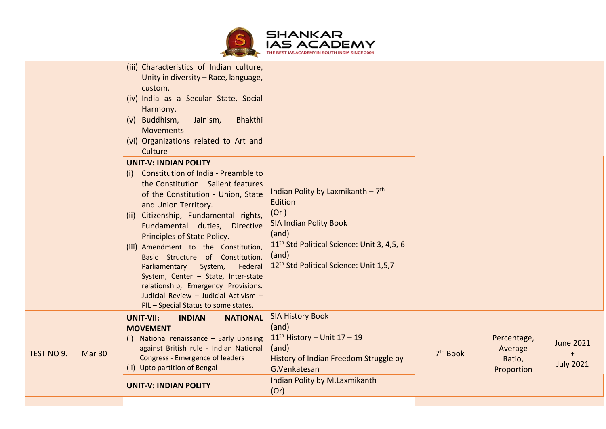

|            |               | <b>UNIT-V: INDIAN POLITY</b>                                                                                                                                                                                                                                                                                                                                                                                                                                                                                                                                                                                                                                                                                                                                  | Indian Polity by M.Laxmikanth<br>(Or)                                                                                                                                                                                                |                      |                                                |                                                              |
|------------|---------------|---------------------------------------------------------------------------------------------------------------------------------------------------------------------------------------------------------------------------------------------------------------------------------------------------------------------------------------------------------------------------------------------------------------------------------------------------------------------------------------------------------------------------------------------------------------------------------------------------------------------------------------------------------------------------------------------------------------------------------------------------------------|--------------------------------------------------------------------------------------------------------------------------------------------------------------------------------------------------------------------------------------|----------------------|------------------------------------------------|--------------------------------------------------------------|
| TEST NO 9. | <b>Mar 30</b> | <b>UNIT-VII:</b><br><b>NATIONAL</b><br><b>INDIAN</b><br><b>MOVEMENT</b><br>(i) National renaissance - Early uprising<br>against British rule - Indian National<br><b>Congress - Emergence of leaders</b><br>(ii) Upto partition of Bengal                                                                                                                                                                                                                                                                                                                                                                                                                                                                                                                     | <b>SIA History Book</b><br>(and)<br>$11th$ History - Unit $17 - 19$<br>(and)<br>History of Indian Freedom Struggle by<br>G.Venkatesan                                                                                                | 7 <sup>th</sup> Book | Percentage,<br>Average<br>Ratio,<br>Proportion | <b>June 2021</b><br>$\ddot{\phantom{1}}$<br><b>July 2021</b> |
|            |               | custom.<br>(iv) India as a Secular State, Social<br>Harmony.<br>(v) Buddhism,<br>Jainism,<br>Bhakthi<br><b>Movements</b><br>(vi) Organizations related to Art and<br>Culture<br><b>UNIT-V: INDIAN POLITY</b><br>Constitution of India - Preamble to<br>(i)<br>the Constitution - Salient features<br>of the Constitution - Union, State<br>and Union Territory.<br>Citizenship, Fundamental rights,<br>(ii)<br>Fundamental duties, Directive<br>Principles of State Policy.<br>(iii) Amendment to the Constitution,<br>Basic Structure of Constitution,<br>System,<br>Federal<br>Parliamentary<br>System, Center - State, Inter-state<br>relationship, Emergency Provisions.<br>Judicial Review - Judicial Activism -<br>PIL - Special Status to some states. | Indian Polity by Laxmikanth $-7$ <sup>th</sup><br>Edition<br>(Or)<br><b>SIA Indian Polity Book</b><br>(and)<br>11 <sup>th</sup> Std Political Science: Unit 3, 4,5, 6<br>(and)<br>12 <sup>th</sup> Std Political Science: Unit 1,5,7 |                      |                                                |                                                              |
|            |               | (iii) Characteristics of Indian culture,<br>Unity in diversity - Race, language,                                                                                                                                                                                                                                                                                                                                                                                                                                                                                                                                                                                                                                                                              |                                                                                                                                                                                                                                      |                      |                                                |                                                              |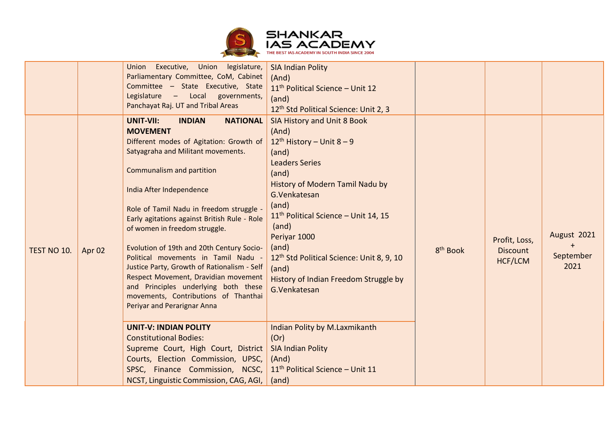

|             |        | Union Executive, Union legislature,<br>Parliamentary Committee, CoM, Cabinet<br>Committee - State Executive, State<br>Legislature - Local governments,<br>Panchayat Raj. UT and Tribal Areas                                                                                                                                                                                                                                                                                                                                                                                                                                                                                                       | <b>SIA Indian Polity</b><br>(And)<br>11 <sup>th</sup> Political Science - Unit 12<br>(and)<br>12 <sup>th</sup> Std Political Science: Unit 2, 3                                                                                                                                                                                                                                                                                                |                      |                                                    |                                  |
|-------------|--------|----------------------------------------------------------------------------------------------------------------------------------------------------------------------------------------------------------------------------------------------------------------------------------------------------------------------------------------------------------------------------------------------------------------------------------------------------------------------------------------------------------------------------------------------------------------------------------------------------------------------------------------------------------------------------------------------------|------------------------------------------------------------------------------------------------------------------------------------------------------------------------------------------------------------------------------------------------------------------------------------------------------------------------------------------------------------------------------------------------------------------------------------------------|----------------------|----------------------------------------------------|----------------------------------|
| TEST NO 10. | Apr 02 | <b>NATIONAL</b><br>UNIT-VII:<br><b>INDIAN</b><br><b>MOVEMENT</b><br>Different modes of Agitation: Growth of<br>Satyagraha and Militant movements.<br>Communalism and partition<br>India After Independence<br>Role of Tamil Nadu in freedom struggle -<br>Early agitations against British Rule - Role<br>of women in freedom struggle.<br>Evolution of 19th and 20th Century Socio-<br>Political movements in Tamil Nadu -<br>Justice Party, Growth of Rationalism - Self<br>Respect Movement, Dravidian movement<br>and Principles underlying both these<br>movements, Contributions of Thanthai<br>Periyar and Perarignar Anna<br><b>UNIT-V: INDIAN POLITY</b><br><b>Constitutional Bodies:</b> | SIA History and Unit 8 Book<br>(And)<br>12 <sup>th</sup> History – Unit 8 – 9<br>(and)<br><b>Leaders Series</b><br>(and)<br>History of Modern Tamil Nadu by<br>G.Venkatesan<br>(and)<br>11 <sup>th</sup> Political Science - Unit 14, 15<br>(and)<br>Periyar 1000<br>(and)<br>12 <sup>th</sup> Std Political Science: Unit 8, 9, 10<br>(and)<br>History of Indian Freedom Struggle by<br>G.Venkatesan<br>Indian Polity by M.Laxmikanth<br>(Or) | 8 <sup>th</sup> Book | Profit, Loss,<br><b>Discount</b><br><b>HCF/LCM</b> | August 2021<br>September<br>2021 |
|             |        | Supreme Court, High Court, District<br>Courts, Election Commission, UPSC,<br>SPSC, Finance Commission, NCSC,<br>NCST, Linguistic Commission, CAG, AGI,                                                                                                                                                                                                                                                                                                                                                                                                                                                                                                                                             | <b>SIA Indian Polity</b><br>(And)<br>11 <sup>th</sup> Political Science - Unit 11<br>(and)                                                                                                                                                                                                                                                                                                                                                     |                      |                                                    |                                  |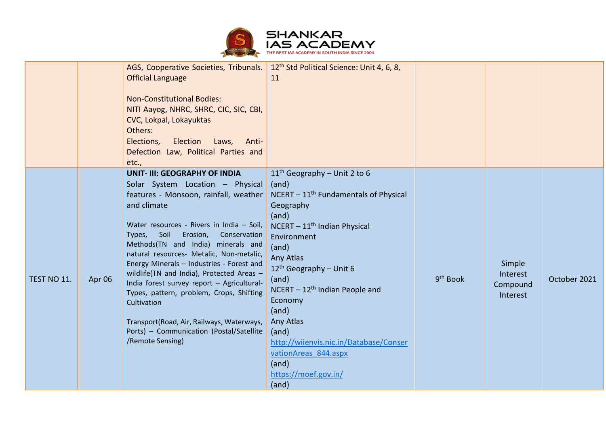

|             |        | AGS, Cooperative Societies, Tribunals.<br><b>Official Language</b><br><b>Non-Constitutional Bodies:</b><br>NITI Aayog, NHRC, SHRC, CIC, SIC, CBI,<br>CVC, Lokpal, Lokayuktas<br>Others:<br>Election<br>Elections,<br>Laws,<br>Anti-<br>Defection Law, Political Parties and<br>etc.,                                                                                                                                                                                                                                                                                                                                          | 12 <sup>th</sup> Std Political Science: Unit 4, 6, 8,<br>11                                                                                                                                                                                                                                                                                                                                                                   |                      |                                            |              |
|-------------|--------|-------------------------------------------------------------------------------------------------------------------------------------------------------------------------------------------------------------------------------------------------------------------------------------------------------------------------------------------------------------------------------------------------------------------------------------------------------------------------------------------------------------------------------------------------------------------------------------------------------------------------------|-------------------------------------------------------------------------------------------------------------------------------------------------------------------------------------------------------------------------------------------------------------------------------------------------------------------------------------------------------------------------------------------------------------------------------|----------------------|--------------------------------------------|--------------|
| TEST NO 11. | Apr 06 | <b>UNIT- III: GEOGRAPHY OF INDIA</b><br>Solar System Location - Physical<br>features - Monsoon, rainfall, weather<br>and climate<br>Water resources - Rivers in India - Soil,<br>Soil<br>Erosion,<br>Conservation<br>Types,<br>Methods(TN and India) minerals and<br>natural resources- Metalic, Non-metalic,<br>Energy Minerals - Industries - Forest and<br>wildlife(TN and India), Protected Areas -<br>India forest survey report - Agricultural-<br>Types, pattern, problem, Crops, Shifting<br>Cultivation<br>Transport(Road, Air, Railways, Waterways,<br>Ports) - Communication (Postal/Satellite<br>/Remote Sensing) | $11th$ Geography – Unit 2 to 6<br>(and)<br>$NCENT - 11th Fundamental's of Physical$<br>Geography<br>(and)<br>NCERT - 11 <sup>th</sup> Indian Physical<br>Environment<br>(and)<br>Any Atlas<br>$12^{th}$ Geography - Unit 6<br>(and)<br>$NCENT - 12th$ Indian People and<br>Economy<br>(and)<br>Any Atlas<br>(and)<br>http://wiienvis.nic.in/Database/Conser<br>vationAreas 844.aspx<br>(and)<br>https://moef.gov.in/<br>(and) | 9 <sup>th</sup> Book | Simple<br>Interest<br>Compound<br>Interest | October 2021 |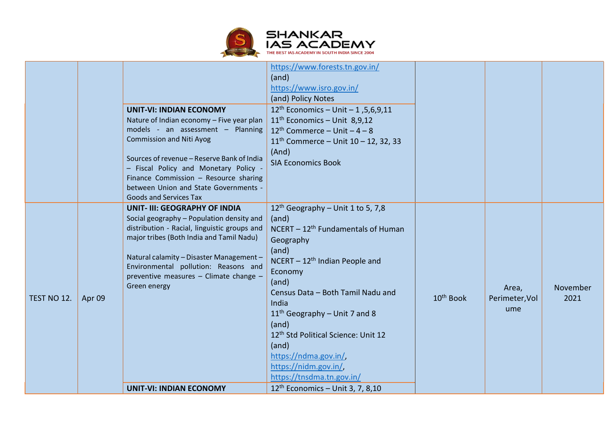

| 12 <sup>th</sup> Geography - Unit 1 to 5, 7,8<br><b>UNIT- III: GEOGRAPHY OF INDIA</b><br>Social geography - Population density and<br>(and)<br>distribution - Racial, linguistic groups and<br>NCERT - 12 <sup>th</sup> Fundamentals of Human<br>major tribes (Both India and Tamil Nadu)<br>Geography<br>(and)<br>Natural calamity - Disaster Management -<br>$NCENT - 12th Indian People and$<br>Environmental pollution: Reasons and<br>Economy<br>preventive measures - Climate change -<br>(and)<br>Green energy<br>November<br>Area,<br>Census Data - Both Tamil Nadu and<br>10 <sup>th</sup> Book<br>2021<br>TEST NO 12.<br>Perimeter, Vol<br>Apr 09<br>India<br>ume<br>$11th$ Geography – Unit 7 and 8<br>(and)<br>12th Std Political Science: Unit 12<br>(and)<br>https://ndma.gov.in/,<br>https://nidm.gov.in/,<br>https://tnsdma.tn.gov.in/ | $12^{th}$ Economics - Unit - 1, 5, 6, 9, 11<br><b>UNIT-VI: INDIAN ECONOMY</b><br>$11th$ Economics - Unit 8,9,12<br>Nature of Indian economy - Five year plan<br>models - an assessment - Planning<br>$12th$ Commerce – Unit – 4 – 8<br><b>Commission and Niti Ayog</b><br>$11^{th}$ Commerce - Unit $10 - 12$ , 32, 33<br>(And)<br>Sources of revenue - Reserve Bank of India<br><b>SIA Economics Book</b><br>- Fiscal Policy and Monetary Policy -<br>Finance Commission - Resource sharing<br>between Union and State Governments -<br><b>Goods and Services Tax</b> |  |
|--------------------------------------------------------------------------------------------------------------------------------------------------------------------------------------------------------------------------------------------------------------------------------------------------------------------------------------------------------------------------------------------------------------------------------------------------------------------------------------------------------------------------------------------------------------------------------------------------------------------------------------------------------------------------------------------------------------------------------------------------------------------------------------------------------------------------------------------------------|------------------------------------------------------------------------------------------------------------------------------------------------------------------------------------------------------------------------------------------------------------------------------------------------------------------------------------------------------------------------------------------------------------------------------------------------------------------------------------------------------------------------------------------------------------------------|--|
|                                                                                                                                                                                                                                                                                                                                                                                                                                                                                                                                                                                                                                                                                                                                                                                                                                                        | $12th$ Economics - Unit 3, 7, 8,10<br><b>UNIT-VI: INDIAN ECONOMY</b>                                                                                                                                                                                                                                                                                                                                                                                                                                                                                                   |  |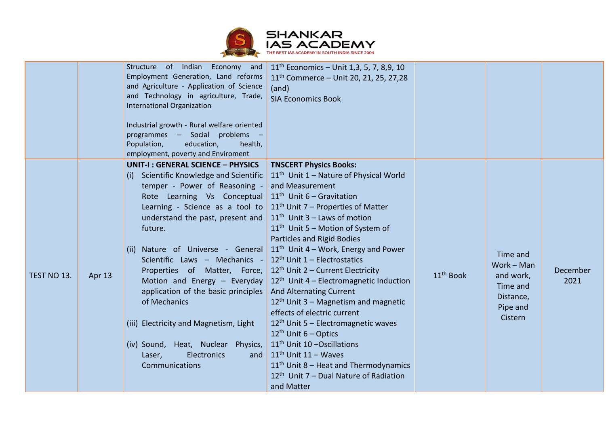

|             |        | Structure of Indian Economy and<br>Employment Generation, Land reforms<br>and Agriculture - Application of Science<br>and Technology in agriculture, Trade,<br><b>International Organization</b><br>Industrial growth - Rural welfare oriented<br>programmes - Social problems -<br>Population,<br>education,<br>health,<br>employment, poverty and Enviroment                                                                                                                                                                                                              | $11th$ Economics – Unit 1,3, 5, 7, 8,9, 10<br>11 <sup>th</sup> Commerce - Unit 20, 21, 25, 27,28<br>(and)<br><b>SIA Economics Book</b>                                                                                                                                                                                                                                                                                                                                                                                                                                                                                                                                                                                                                                                                                        |                       |                                                                                     |                  |
|-------------|--------|-----------------------------------------------------------------------------------------------------------------------------------------------------------------------------------------------------------------------------------------------------------------------------------------------------------------------------------------------------------------------------------------------------------------------------------------------------------------------------------------------------------------------------------------------------------------------------|-------------------------------------------------------------------------------------------------------------------------------------------------------------------------------------------------------------------------------------------------------------------------------------------------------------------------------------------------------------------------------------------------------------------------------------------------------------------------------------------------------------------------------------------------------------------------------------------------------------------------------------------------------------------------------------------------------------------------------------------------------------------------------------------------------------------------------|-----------------------|-------------------------------------------------------------------------------------|------------------|
| TEST NO 13. | Apr 13 | <b>UNIT-I: GENERAL SCIENCE - PHYSICS</b><br>(i) Scientific Knowledge and Scientific<br>temper - Power of Reasoning -<br>Rote Learning Vs Conceptual<br>Learning - Science as a tool to<br>understand the past, present and<br>future.<br>(ii) Nature of Universe - General<br>Scientific Laws - Mechanics -<br>Properties of Matter, Force,<br>Motion and Energy - Everyday<br>application of the basic principles<br>of Mechanics<br>(iii) Electricity and Magnetism, Light<br>(iv) Sound, Heat, Nuclear Physics,<br><b>Electronics</b><br>Laser,<br>and<br>Communications | <b>TNSCERT Physics Books:</b><br>11 <sup>th</sup> Unit 1 - Nature of Physical World<br>and Measurement<br>$11th$ Unit 6 – Gravitation<br>$11th$ Unit 7 – Properties of Matter<br>$11th$ Unit 3 – Laws of motion<br>11 <sup>th</sup> Unit 5 - Motion of System of<br><b>Particles and Rigid Bodies</b><br>$11th$ Unit 4 – Work, Energy and Power<br>$12th$ Unit 1 – Electrostatics<br>$12th$ Unit 2 – Current Electricity<br>$12th$ Unit 4 – Electromagnetic Induction<br><b>And Alternating Current</b><br>$12th$ Unit 3 – Magnetism and magnetic<br>effects of electric current<br>$12th$ Unit 5 – Electromagnetic waves<br>$12th$ Unit 6 – Optics<br>11 <sup>th</sup> Unit 10 - Oscillations<br>$11th$ Unit 11 – Waves<br>$11th$ Unit 8 – Heat and Thermodynamics<br>$12th$ Unit 7 – Dual Nature of Radiation<br>and Matter | 11 <sup>th</sup> Book | Time and<br>Work - Man<br>and work,<br>Time and<br>Distance,<br>Pipe and<br>Cistern | December<br>2021 |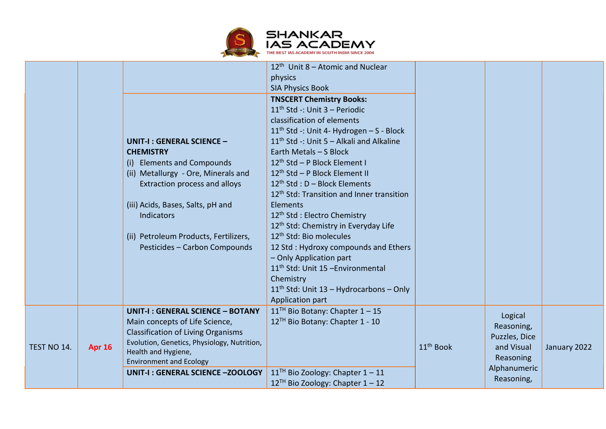

|             |               | UNIT-I: GENERAL SCIENCE -<br><b>CHEMISTRY</b>                                                                                                                                                                                  | $12th$ Unit 8 – Atomic and Nuclear<br>physics<br><b>SIA Physics Book</b><br><b>TNSCERT Chemistry Books:</b><br>$11th$ Std -: Unit 3 – Periodic<br>classification of elements<br>$11th$ Std -: Unit 4- Hydrogen – S - Block<br>11 <sup>th</sup> Std -: Unit 5 - Alkali and Alkaline<br>Earth Metals - S Block |                                                                                            |                            |  |
|-------------|---------------|--------------------------------------------------------------------------------------------------------------------------------------------------------------------------------------------------------------------------------|--------------------------------------------------------------------------------------------------------------------------------------------------------------------------------------------------------------------------------------------------------------------------------------------------------------|--------------------------------------------------------------------------------------------|----------------------------|--|
|             |               | (i) Elements and Compounds<br>(ii) Metallurgy - Ore, Minerals and<br>Extraction process and alloys                                                                                                                             | 12 <sup>th</sup> Std - P Block Element I<br>12 <sup>th</sup> Std - P Block Element II<br>$12^{th}$ Std : D - Block Elements<br>12 <sup>th</sup> Std: Transition and Inner transition                                                                                                                         |                                                                                            |                            |  |
|             |               | (iii) Acids, Bases, Salts, pH and<br><b>Indicators</b><br>(ii) Petroleum Products, Fertilizers,                                                                                                                                | <b>Elements</b><br>12 <sup>th</sup> Std: Electro Chemistry<br>12 <sup>th</sup> Std: Chemistry in Everyday Life<br>12 <sup>th</sup> Std: Bio molecules                                                                                                                                                        |                                                                                            |                            |  |
|             |               | Pesticides - Carbon Compounds                                                                                                                                                                                                  | 12 Std: Hydroxy compounds and Ethers<br>- Only Application part<br>11 <sup>th</sup> Std: Unit 15 -Environmental<br>Chemistry<br>$11th$ Std: Unit 13 – Hydrocarbons – Only                                                                                                                                    |                                                                                            |                            |  |
|             |               |                                                                                                                                                                                                                                | Application part                                                                                                                                                                                                                                                                                             |                                                                                            |                            |  |
| TEST NO 14. | <b>Apr 16</b> | <b>UNIT-I: GENERAL SCIENCE - BOTANY</b><br>Main concepts of Life Science,<br><b>Classification of Living Organisms</b><br>Evolution, Genetics, Physiology, Nutrition,<br>Health and Hygiene,<br><b>Environment and Ecology</b> | $11TH$ Bio Botany: Chapter $1-15$<br>12 <sup>TH</sup> Bio Botany: Chapter 1 - 10                                                                                                                                                                                                                             | Logical<br>Reasoning,<br>Puzzles, Dice<br>11 <sup>th</sup> Book<br>and Visual<br>Reasoning | January 2022               |  |
|             |               | UNIT-I: GENERAL SCIENCE -ZOOLOGY                                                                                                                                                                                               | $11TH$ Bio Zoology: Chapter $1 - 11$<br>$12^{TH}$ Bio Zoology: Chapter $1 - 12$                                                                                                                                                                                                                              |                                                                                            | Alphanumeric<br>Reasoning, |  |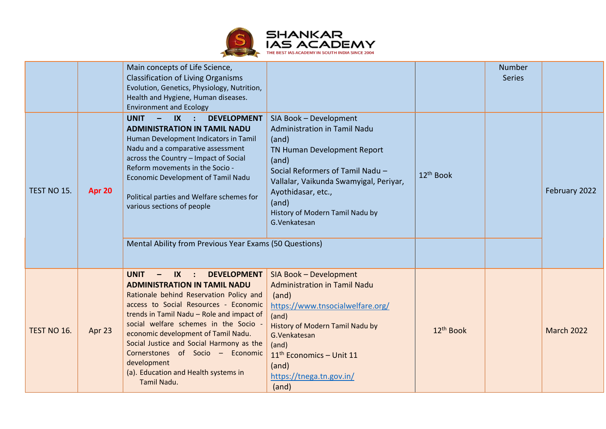

|             |        | Main concepts of Life Science,<br><b>Classification of Living Organisms</b><br>Evolution, Genetics, Physiology, Nutrition,<br>Health and Hygiene, Human diseases.<br><b>Environment and Ecology</b>                                                                                                                                                                                                                                                       |                                                                                                                                                                                                                                                                              |                       | <b>Number</b><br><b>Series</b> |                   |
|-------------|--------|-----------------------------------------------------------------------------------------------------------------------------------------------------------------------------------------------------------------------------------------------------------------------------------------------------------------------------------------------------------------------------------------------------------------------------------------------------------|------------------------------------------------------------------------------------------------------------------------------------------------------------------------------------------------------------------------------------------------------------------------------|-----------------------|--------------------------------|-------------------|
| TEST NO 15. | Apr 20 | <b>UNIT</b><br>$IX$ :<br><b>DEVELOPMENT</b><br>$\qquad \qquad -$<br><b>ADMINISTRATION IN TAMIL NADU</b><br>Human Development Indicators in Tamil<br>Nadu and a comparative assessment<br>across the Country - Impact of Social<br>Reform movements in the Socio -<br>Economic Development of Tamil Nadu<br>Political parties and Welfare schemes for<br>various sections of people                                                                        | SIA Book - Development<br>Administration in Tamil Nadu<br>(and)<br>TN Human Development Report<br>(and)<br>Social Reformers of Tamil Nadu -<br>Vallalar, Vaikunda Swamyigal, Periyar,<br>Ayothidasar, etc.,<br>(and)<br>History of Modern Tamil Nadu by<br>G.Venkatesan      | 12 <sup>th</sup> Book |                                | February 2022     |
|             |        | Mental Ability from Previous Year Exams (50 Questions)                                                                                                                                                                                                                                                                                                                                                                                                    |                                                                                                                                                                                                                                                                              |                       |                                |                   |
| TEST NO 16. | Apr 23 | <b>DEVELOPMENT</b><br><b>UNIT</b><br>$IX$ :<br><b>ADMINISTRATION IN TAMIL NADU</b><br>Rationale behind Reservation Policy and<br>access to Social Resources - Economic<br>trends in Tamil Nadu - Role and impact of<br>social welfare schemes in the Socio -<br>economic development of Tamil Nadu.<br>Social Justice and Social Harmony as the<br>Cornerstones of Socio - Economic<br>development<br>(a). Education and Health systems in<br>Tamil Nadu. | SIA Book - Development<br><b>Administration in Tamil Nadu</b><br>(and)<br>https://www.tnsocialwelfare.org/<br>(and)<br><b>History of Modern Tamil Nadu by</b><br>G.Venkatesan<br>(and)<br>11 <sup>th</sup> Economics - Unit 11<br>(and)<br>https://tnega.tn.gov.in/<br>(and) | 12 <sup>th</sup> Book |                                | <b>March 2022</b> |